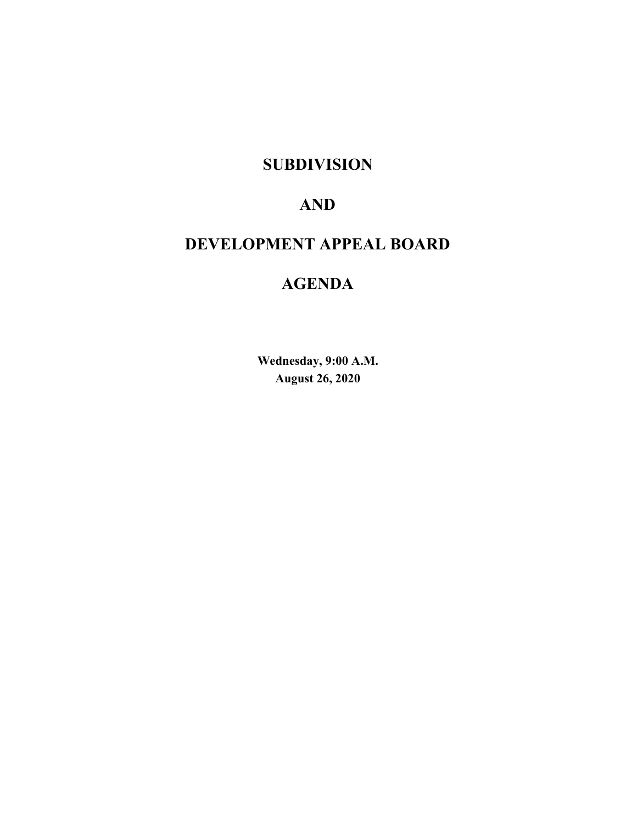# **SUBDIVISION**

# **AND**

# **DEVELOPMENT APPEAL BOARD**

# **AGENDA**

**Wednesday, 9:00 A.M. August 26, 2020**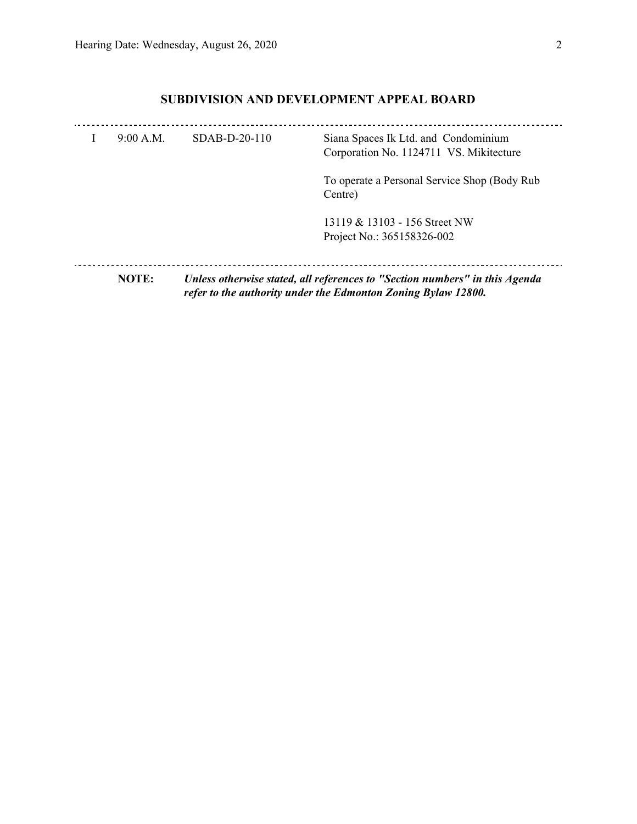# **SUBDIVISION AND DEVELOPMENT APPEAL BOARD**

| 9:00 A.M. | $SDAB-D-20-110$ | Siana Spaces Ik Ltd. and Condominium<br>Corporation No. 1124711 VS. Mikitecture                                                              |  |  |
|-----------|-----------------|----------------------------------------------------------------------------------------------------------------------------------------------|--|--|
|           |                 | To operate a Personal Service Shop (Body Rub)<br>Centre)                                                                                     |  |  |
|           |                 | 13119 & 13103 - 156 Street NW<br>Project No.: 365158326-002                                                                                  |  |  |
| NOTE:     |                 | Unless otherwise stated, all references to "Section numbers" in this Agenda<br>refer to the authority under the Edmonton Zoning Bylaw 12800. |  |  |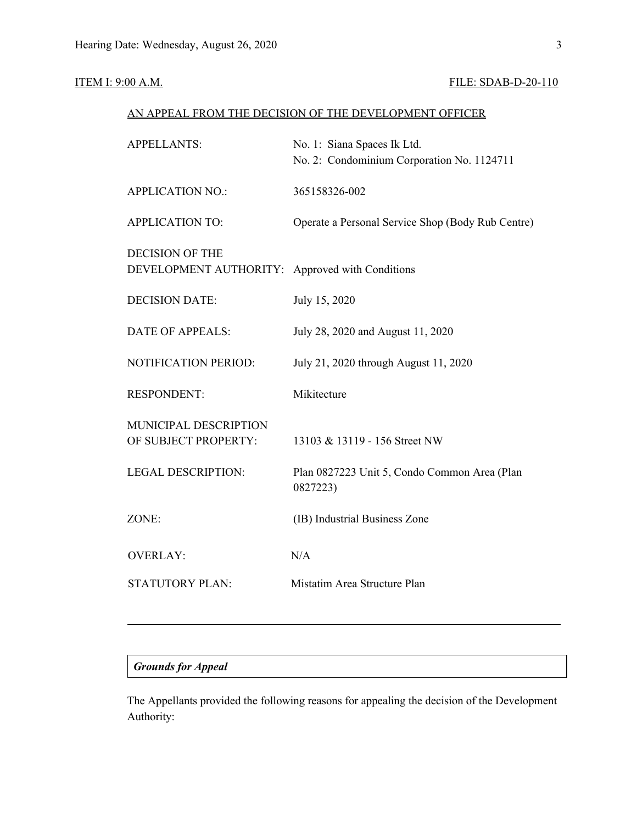### **ITEM I: 9:00 A.M. FILE: SDAB-D-20-110**

### AN APPEAL FROM THE DECISION OF THE DEVELOPMENT OFFICER

| <b>APPELLANTS:</b>                               | No. 1: Siana Spaces Ik Ltd.<br>No. 2: Condominium Corporation No. 1124711 |  |  |
|--------------------------------------------------|---------------------------------------------------------------------------|--|--|
| <b>APPLICATION NO.:</b>                          | 365158326-002                                                             |  |  |
| <b>APPLICATION TO:</b>                           | Operate a Personal Service Shop (Body Rub Centre)                         |  |  |
| <b>DECISION OF THE</b><br>DEVELOPMENT AUTHORITY: | Approved with Conditions                                                  |  |  |
| <b>DECISION DATE:</b>                            | July 15, 2020                                                             |  |  |
| DATE OF APPEALS:                                 | July 28, 2020 and August 11, 2020                                         |  |  |
| NOTIFICATION PERIOD:                             | July 21, 2020 through August 11, 2020                                     |  |  |
| <b>RESPONDENT:</b>                               | Mikitecture                                                               |  |  |
| MUNICIPAL DESCRIPTION<br>OF SUBJECT PROPERTY:    | 13103 & 13119 - 156 Street NW                                             |  |  |
| <b>LEGAL DESCRIPTION:</b>                        | Plan 0827223 Unit 5, Condo Common Area (Plan<br>0827223)                  |  |  |
| ZONE:                                            | (IB) Industrial Business Zone                                             |  |  |
| <b>OVERLAY:</b>                                  | N/A                                                                       |  |  |
| <b>STATUTORY PLAN:</b>                           | Mistatim Area Structure Plan                                              |  |  |
|                                                  |                                                                           |  |  |

## *Grounds for Appeal*

The Appellants provided the following reasons for appealing the decision of the Development Authority: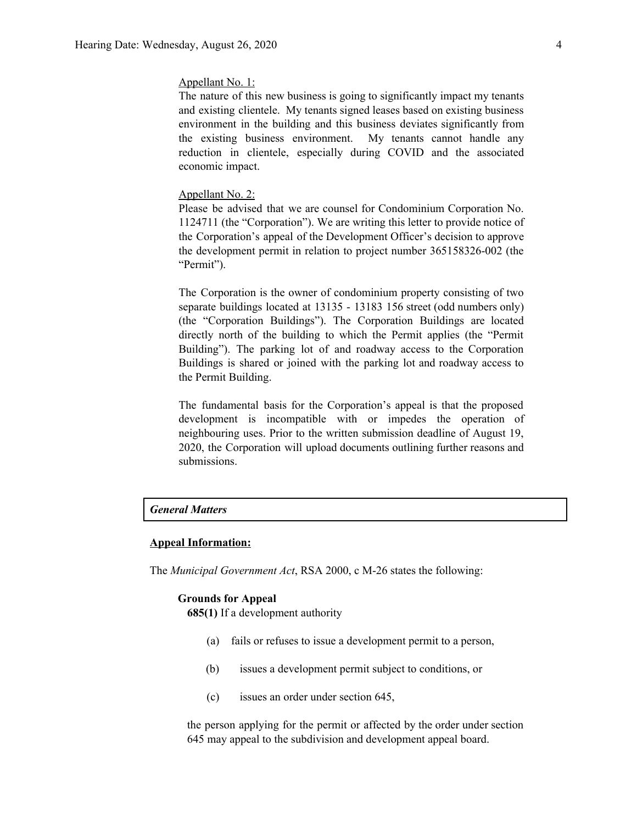#### Appellant No. 1:

The nature of this new business is going to significantly impact my tenants and existing clientele. My tenants signed leases based on existing business environment in the building and this business deviates significantly from the existing business environment. My tenants cannot handle any reduction in clientele, especially during COVID and the associated economic impact.

#### Appellant No. 2:

Please be advised that we are counsel for Condominium Corporation No. 1124711 (the "Corporation"). We are writing this letter to provide notice of the Corporation's appeal of the Development Officer's decision to approve the development permit in relation to project number 365158326-002 (the "Permit").

The Corporation is the owner of condominium property consisting of two separate buildings located at 13135 - 13183 156 street (odd numbers only) (the "Corporation Buildings"). The Corporation Buildings are located directly north of the building to which the Permit applies (the "Permit Building"). The parking lot of and roadway access to the Corporation Buildings is shared or joined with the parking lot and roadway access to the Permit Building.

The fundamental basis for the Corporation's appeal is that the proposed development is incompatible with or impedes the operation of neighbouring uses. Prior to the written submission deadline of August 19, 2020, the Corporation will upload documents outlining further reasons and submissions.

### *General Matters*

#### **Appeal Information:**

The *Municipal Government Act*, RSA 2000, c M-26 states the following:

#### **Grounds for Appeal**

**685(1)** If a development authority

- (a) fails or refuses to issue a development permit to a person,
- (b) issues a development permit subject to conditions, or
- (c) issues an order under section 645,

the person applying for the permit or affected by the order under section 645 may appeal to the subdivision and development appeal board.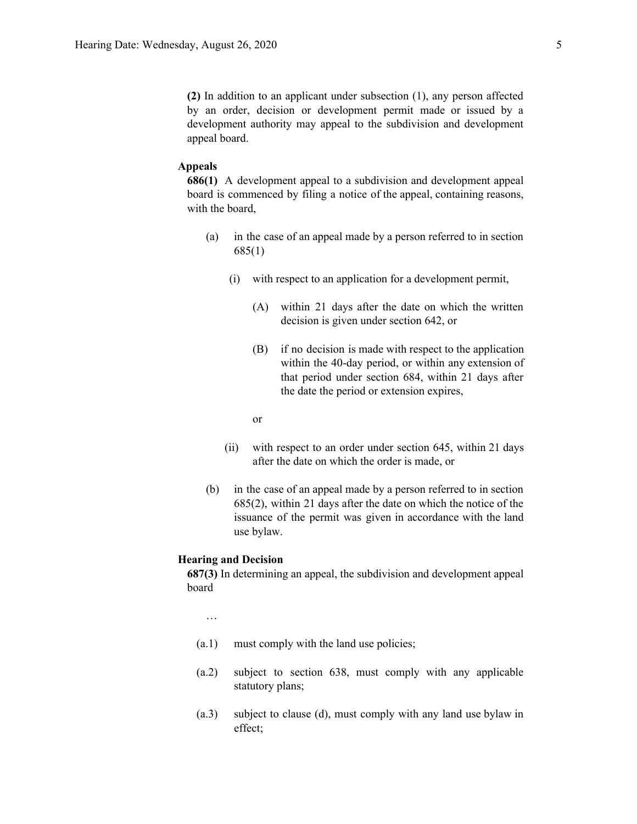**(2)** In addition to an applicant under subsection (1), any person affected by an order, decision or development permit made or issued by a development authority may appeal to the subdivision and development appeal board.

#### **Appeals**

**686(1)** A development appeal to a subdivision and development appeal board is commenced by filing a notice of the appeal, containing reasons, with the board,

- (a) in the case of an appeal made by a person referred to in section 685(1)
	- (i) with respect to an application for a development permit,
		- (A) within 21 days after the date on which the written decision is given under section 642, or
		- (B) if no decision is made with respect to the application within the 40-day period, or within any extension of that period under section 684, within 21 days after the date the period or extension expires,
		- or
	- (ii) with respect to an order under section 645, within 21 days after the date on which the order is made, or
- (b) in the case of an appeal made by a person referred to in section 685(2), within 21 days after the date on which the notice of the issuance of the permit was given in accordance with the land use bylaw.

#### **Hearing and Decision**

**687(3)** In determining an appeal, the subdivision and development appeal board

…

- (a.1) must comply with the land use policies;
- (a.2) subject to section 638, must comply with any applicable statutory plans;
- (a.3) subject to clause (d), must comply with any land use bylaw in effect;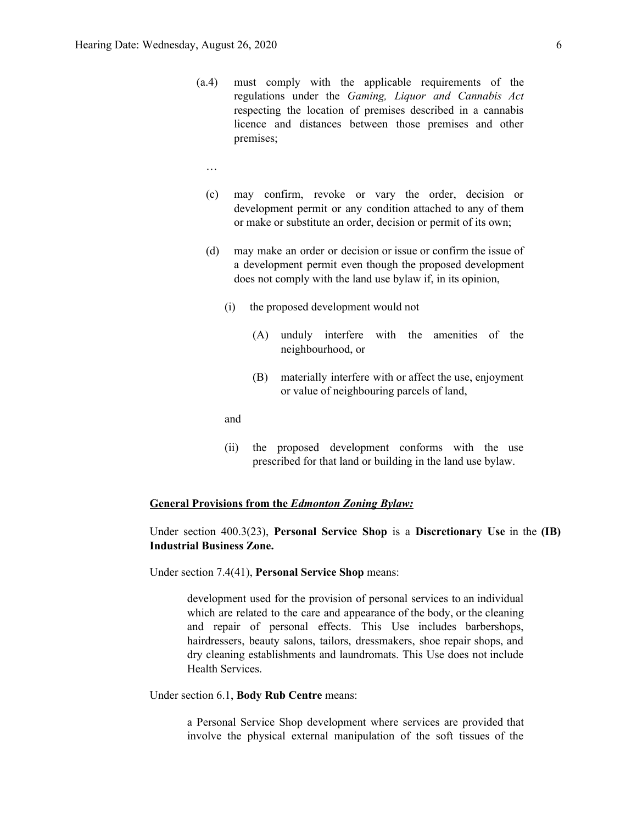- (a.4) must comply with the applicable requirements of the regulations under the *Gaming, Liquor and Cannabis Act* respecting the location of premises described in a cannabis licence and distances between those premises and other premises;
	- …
	- (c) may confirm, revoke or vary the order, decision or development permit or any condition attached to any of them or make or substitute an order, decision or permit of its own;
	- (d) may make an order or decision or issue or confirm the issue of a development permit even though the proposed development does not comply with the land use bylaw if, in its opinion,
		- (i) the proposed development would not
			- (A) unduly interfere with the amenities of the neighbourhood, or
			- (B) materially interfere with or affect the use, enjoyment or value of neighbouring parcels of land,

and

(ii) the proposed development conforms with the use prescribed for that land or building in the land use bylaw.

#### **General Provisions from the** *Edmonton Zoning Bylaw:*

### Under section 400.3(23), **Personal Service Shop** is a **Discretionary Use** in the **(IB) Industrial Business Zone.**

Under section 7.4(41), **Personal Service Shop** means:

development used for the provision of personal services to an individual which are related to the care and appearance of the body, or the cleaning and repair of personal effects. This Use includes barbershops, hairdressers, beauty salons, tailors, dressmakers, shoe repair shops, and dry cleaning establishments and laundromats. This Use does not include Health Services.

#### Under section 6.1, **Body Rub Centre** means:

a Personal Service Shop development where services are provided that involve the physical external manipulation of the soft tissues of the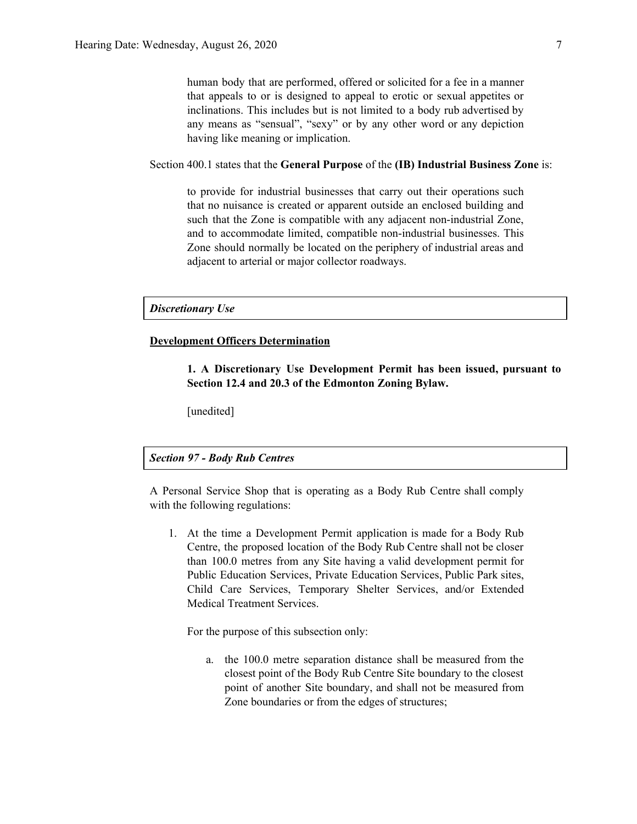human body that are performed, offered or solicited for a fee in a manner that appeals to or is designed to appeal to erotic or sexual appetites or inclinations. This includes but is not limited to a body rub advertised by any means as "sensual", "sexy" or by any other word or any depiction having like meaning or implication.

Section 400.1 states that the **General Purpose** of the **(IB) Industrial Business Zone** is:

to provide for industrial businesses that carry out their operations such that no nuisance is created or apparent outside an enclosed building and such that the Zone is compatible with any adjacent non-industrial Zone, and to accommodate limited, compatible non-industrial businesses. This Zone should normally be located on the periphery of industrial areas and adjacent to arterial or major collector roadways.

*Discretionary Use*

#### **Development Officers Determination**

**1. A Discretionary Use Development Permit has been issued, pursuant to Section 12.4 and 20.3 of the Edmonton Zoning Bylaw.**

[unedited]

#### *Section 97 - Body Rub Centres*

A Personal Service Shop that is operating as a Body Rub Centre shall comply with the following regulations:

1. At the time a Development Permit application is made for a Body Rub Centre, the proposed location of the Body Rub Centre shall not be closer than 100.0 metres from any Site having a valid development permit for Public Education Services, Private Education Services, Public Park sites, Child Care Services, Temporary Shelter Services, and/or Extended Medical Treatment Services.

For the purpose of this subsection only:

a. the 100.0 metre separation distance shall be measured from the closest point of the Body Rub Centre Site boundary to the closest point of another Site boundary, and shall not be measured from Zone boundaries or from the edges of structures;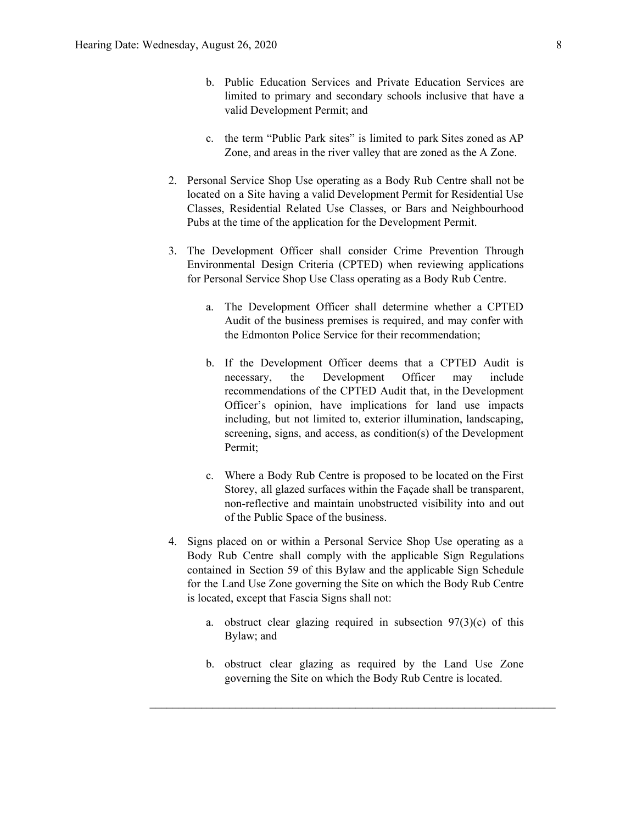- b. Public Education Services and Private Education Services are limited to primary and secondary schools inclusive that have a valid Development Permit; and
- c. the term "Public Park sites" is limited to park Sites zoned as AP Zone, and areas in the river valley that are zoned as the A Zone.
- 2. Personal Service Shop Use operating as a Body Rub Centre shall not be located on a Site having a valid Development Permit for Residential Use Classes, Residential Related Use Classes, or Bars and Neighbourhood Pubs at the time of the application for the Development Permit.
- 3. The Development Officer shall consider Crime Prevention Through Environmental Design Criteria (CPTED) when reviewing applications for Personal Service Shop Use Class operating as a Body Rub Centre.
	- a. The Development Officer shall determine whether a CPTED Audit of the business premises is required, and may confer with the Edmonton Police Service for their recommendation;
	- b. If the Development Officer deems that a CPTED Audit is necessary, the Development Officer may include recommendations of the CPTED Audit that, in the Development Officer's opinion, have implications for land use impacts including, but not limited to, exterior illumination, landscaping, screening, signs, and access, as condition(s) of the Development Permit;
	- c. Where a Body Rub Centre is proposed to be located on the First Storey, all glazed surfaces within the Façade shall be transparent, non-reflective and maintain unobstructed visibility into and out of the Public Space of the business.
- 4. Signs placed on or within a Personal Service Shop Use operating as a Body Rub Centre shall comply with the applicable Sign Regulations contained in Section 59 of this Bylaw and the applicable Sign Schedule for the Land Use Zone governing the Site on which the Body Rub Centre is located, except that Fascia Signs shall not:
	- a. obstruct clear glazing required in subsection  $97(3)(c)$  of this Bylaw; and
	- b. obstruct clear glazing as required by the Land Use Zone governing the Site on which the Body Rub Centre is located.

 $\mathcal{L}_\text{max} = \mathcal{L}_\text{max} = \mathcal{L}_\text{max} = \mathcal{L}_\text{max} = \mathcal{L}_\text{max} = \mathcal{L}_\text{max} = \mathcal{L}_\text{max} = \mathcal{L}_\text{max} = \mathcal{L}_\text{max} = \mathcal{L}_\text{max} = \mathcal{L}_\text{max} = \mathcal{L}_\text{max} = \mathcal{L}_\text{max} = \mathcal{L}_\text{max} = \mathcal{L}_\text{max} = \mathcal{L}_\text{max} = \mathcal{L}_\text{max} = \mathcal{L}_\text{max} = \mathcal{$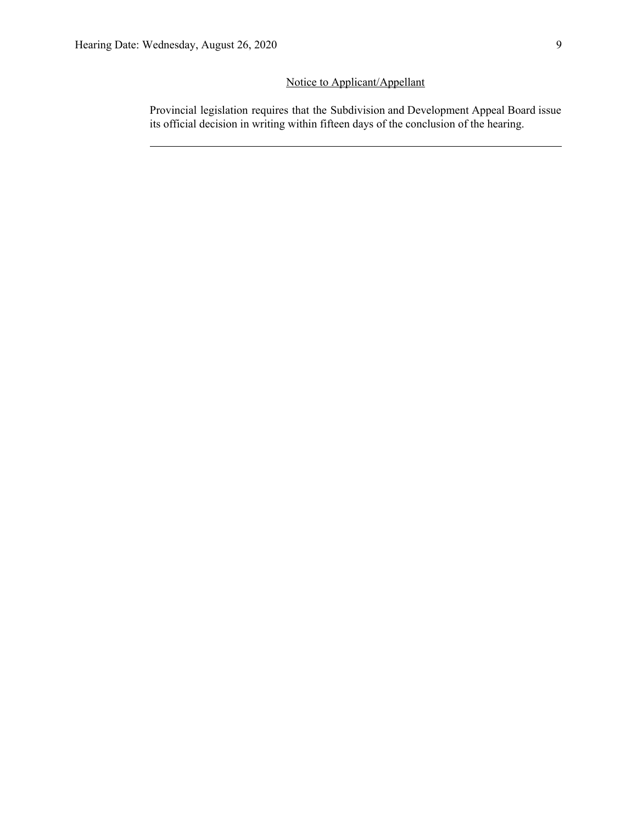# Notice to Applicant/Appellant

Provincial legislation requires that the Subdivision and Development Appeal Board issue its official decision in writing within fifteen days of the conclusion of the hearing.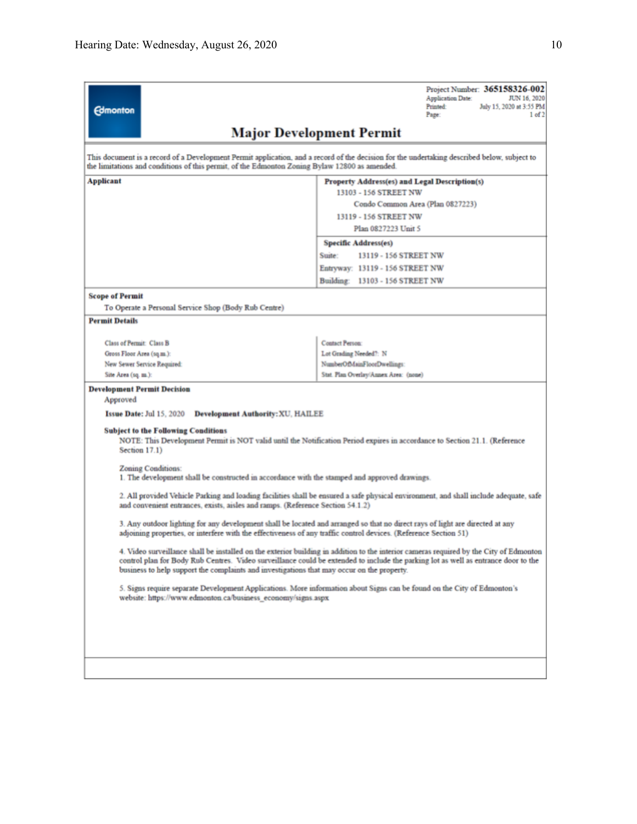| <b>Edmonton</b>                                                                                                                                                                                                                                                                                                                                                            | Project Number: 365158326-002<br>Application Date:<br>JUN 16, 2020<br><b>Printed:</b><br>July 15, 2020 at 3:55 PM<br>Page:<br>1 of 2 |  |  |  |  |
|----------------------------------------------------------------------------------------------------------------------------------------------------------------------------------------------------------------------------------------------------------------------------------------------------------------------------------------------------------------------------|--------------------------------------------------------------------------------------------------------------------------------------|--|--|--|--|
|                                                                                                                                                                                                                                                                                                                                                                            | <b>Major Development Permit</b>                                                                                                      |  |  |  |  |
| This document is a record of a Development Permit application, and a record of the decision for the undertaking described below, subject to<br>the limitations and conditions of this permit, of the Edmonton Zoning Bylaw 12800 as amended.                                                                                                                               |                                                                                                                                      |  |  |  |  |
| Applicant                                                                                                                                                                                                                                                                                                                                                                  | Property Address(es) and Legal Description(s)                                                                                        |  |  |  |  |
|                                                                                                                                                                                                                                                                                                                                                                            | 13103 - 156 STREET NW                                                                                                                |  |  |  |  |
|                                                                                                                                                                                                                                                                                                                                                                            | Condo Common Area (Plan 0827223)                                                                                                     |  |  |  |  |
|                                                                                                                                                                                                                                                                                                                                                                            | 13119 - 156 STREET NW                                                                                                                |  |  |  |  |
|                                                                                                                                                                                                                                                                                                                                                                            | Plan 0827223 Unit 5                                                                                                                  |  |  |  |  |
|                                                                                                                                                                                                                                                                                                                                                                            | <b>Specific Address(es)</b>                                                                                                          |  |  |  |  |
|                                                                                                                                                                                                                                                                                                                                                                            | Suite:<br>13119 - 156 STREET NW                                                                                                      |  |  |  |  |
|                                                                                                                                                                                                                                                                                                                                                                            | Entryway: 13119 - 156 STREET NW                                                                                                      |  |  |  |  |
|                                                                                                                                                                                                                                                                                                                                                                            | Building: 13103 - 156 STREET NW                                                                                                      |  |  |  |  |
| <b>Scope of Permit</b>                                                                                                                                                                                                                                                                                                                                                     |                                                                                                                                      |  |  |  |  |
| To Operate a Personal Service Shop (Body Rub Centre)                                                                                                                                                                                                                                                                                                                       |                                                                                                                                      |  |  |  |  |
| <b>Permit Details</b>                                                                                                                                                                                                                                                                                                                                                      |                                                                                                                                      |  |  |  |  |
| Class of Permit: Class B                                                                                                                                                                                                                                                                                                                                                   | <b>Contact Person:</b>                                                                                                               |  |  |  |  |
| Gross Floor Area (sq.m.):                                                                                                                                                                                                                                                                                                                                                  | Lot Grading Needed?: N                                                                                                               |  |  |  |  |
| New Sewer Service Required:                                                                                                                                                                                                                                                                                                                                                | NumberOfMainFloorDwellings:                                                                                                          |  |  |  |  |
| Site Area (sq. m.):                                                                                                                                                                                                                                                                                                                                                        | Stat. Plan Overlay/Annex Area: (none)                                                                                                |  |  |  |  |
| <b>Development Permit Decision</b><br>Approved                                                                                                                                                                                                                                                                                                                             |                                                                                                                                      |  |  |  |  |
| Issue Date: Jul 15, 2020<br><b>Development Authority: XU, HAILEE</b>                                                                                                                                                                                                                                                                                                       |                                                                                                                                      |  |  |  |  |
| <b>Subject to the Following Conditions</b><br>NOTE: This Development Permit is NOT valid until the Notification Period expires in accordance to Section 21.1. (Reference<br>Section 17.1)                                                                                                                                                                                  |                                                                                                                                      |  |  |  |  |
| Zoning Conditions:<br>1. The development shall be constructed in accordance with the stamped and approved drawings.                                                                                                                                                                                                                                                        |                                                                                                                                      |  |  |  |  |
| 2. All provided Vehicle Parking and loading facilities shall be ensured a safe physical environment, and shall include adequate, safe<br>and convenient entrances, exists, aisles and ramps. (Reference Section 54.1.2)                                                                                                                                                    |                                                                                                                                      |  |  |  |  |
| 3. Any outdoor lighting for any development shall be located and arranged so that no direct rays of light are directed at any<br>adjoining properties, or interfere with the effectiveness of any traffic control devices. (Reference Section 51)                                                                                                                          |                                                                                                                                      |  |  |  |  |
| 4. Video surveillance shall be installed on the exterior building in addition to the interior cameras required by the City of Edmonton<br>control plan for Body Rub Centres. Video surveillance could be extended to include the parking lot as well as entrance door to the<br>business to help support the complaints and investigations that may occur on the property. |                                                                                                                                      |  |  |  |  |
| 5. Signs require separate Development Applications. More information about Signs can be found on the City of Edmonton's<br>website: https://www.edmonton.ca/business_economy/signs.aspx                                                                                                                                                                                    |                                                                                                                                      |  |  |  |  |
|                                                                                                                                                                                                                                                                                                                                                                            |                                                                                                                                      |  |  |  |  |
|                                                                                                                                                                                                                                                                                                                                                                            |                                                                                                                                      |  |  |  |  |
|                                                                                                                                                                                                                                                                                                                                                                            |                                                                                                                                      |  |  |  |  |
|                                                                                                                                                                                                                                                                                                                                                                            |                                                                                                                                      |  |  |  |  |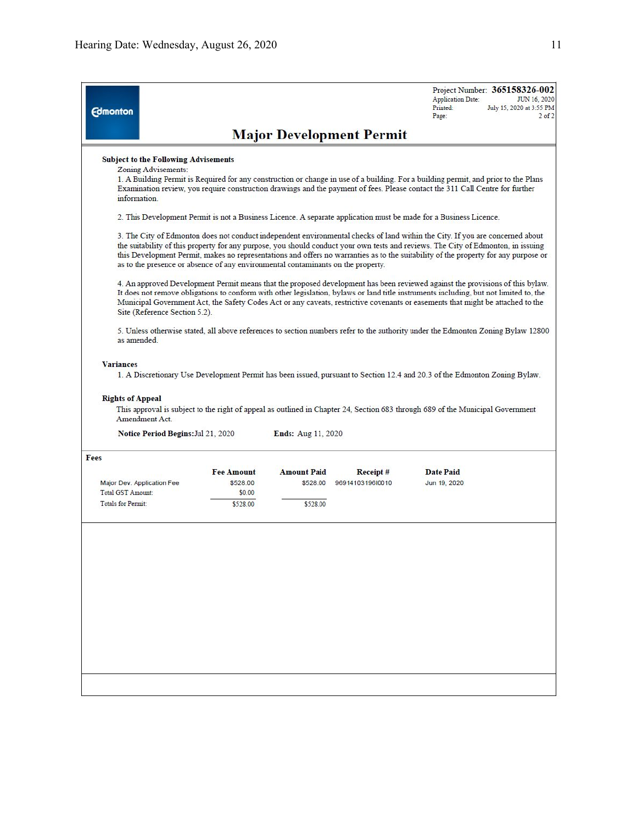| <b>Edmonton</b>                                                                                                                                                                                                                                                                                                                                                                                                                                                                               |                                                                                                                   |                                            |                                 | Project Number: 365158326-002<br><b>Application Date:</b><br>JUN 16, 2020<br>Printed:<br>July 15, 2020 at 3:55 PM<br>$2$ of $2$<br>Page:                                                                                                                             |  |  |  |  |  |  |
|-----------------------------------------------------------------------------------------------------------------------------------------------------------------------------------------------------------------------------------------------------------------------------------------------------------------------------------------------------------------------------------------------------------------------------------------------------------------------------------------------|-------------------------------------------------------------------------------------------------------------------|--------------------------------------------|---------------------------------|----------------------------------------------------------------------------------------------------------------------------------------------------------------------------------------------------------------------------------------------------------------------|--|--|--|--|--|--|
|                                                                                                                                                                                                                                                                                                                                                                                                                                                                                               |                                                                                                                   |                                            | <b>Major Development Permit</b> |                                                                                                                                                                                                                                                                      |  |  |  |  |  |  |
| <b>Subject to the Following Advisements</b><br>Zoning Advisements:<br>information                                                                                                                                                                                                                                                                                                                                                                                                             |                                                                                                                   |                                            |                                 | 1. A Building Permit is Required for any construction or change in use of a building. For a building permit, and prior to the Plans<br>Examination review, you require construction drawings and the payment of fees. Please contact the 311 Call Centre for further |  |  |  |  |  |  |
|                                                                                                                                                                                                                                                                                                                                                                                                                                                                                               | 2. This Development Permit is not a Business Licence. A separate application must be made for a Business Licence. |                                            |                                 |                                                                                                                                                                                                                                                                      |  |  |  |  |  |  |
| 3. The City of Edmonton does not conduct independent environmental checks of land within the City. If you are concerned about<br>the suitability of this property for any purpose, you should conduct your own tests and reviews. The City of Edmonton, in issuing<br>this Development Permit, makes no representations and offers no warranties as to the suitability of the property for any purpose or<br>as to the presence or absence of any environmental contaminants on the property. |                                                                                                                   |                                            |                                 |                                                                                                                                                                                                                                                                      |  |  |  |  |  |  |
| 4. An approved Development Permit means that the proposed development has been reviewed against the provisions of this bylaw.<br>It does not remove obligations to conform with other legislation, bylaws or land title instruments including, but not limited to, the<br>Municipal Government Act, the Safety Codes Act or any caveats, restrictive covenants or easements that might be attached to the<br>Site (Reference Section 5.2).                                                    |                                                                                                                   |                                            |                                 |                                                                                                                                                                                                                                                                      |  |  |  |  |  |  |
| 5. Unless otherwise stated, all above references to section numbers refer to the authority under the Edmonton Zoning Bylaw 12800<br>as amended                                                                                                                                                                                                                                                                                                                                                |                                                                                                                   |                                            |                                 |                                                                                                                                                                                                                                                                      |  |  |  |  |  |  |
| <b>Variances</b><br><b>Rights of Appeal</b><br>Amendment Act.<br>Notice Period Begins: Jul 21, 2020                                                                                                                                                                                                                                                                                                                                                                                           |                                                                                                                   | <b>Ends: Aug 11, 2020</b>                  |                                 | 1. A Discretionary Use Development Permit has been issued, pursuant to Section 12.4 and 20.3 of the Edmonton Zoning Bylaw.<br>This approval is subject to the right of appeal as outlined in Chapter 24, Section 683 through 689 of the Municipal Government         |  |  |  |  |  |  |
| Fees                                                                                                                                                                                                                                                                                                                                                                                                                                                                                          |                                                                                                                   |                                            |                                 |                                                                                                                                                                                                                                                                      |  |  |  |  |  |  |
| Major Dev. Application Fee<br>Total GST Amount:<br><b>Totals for Permit:</b>                                                                                                                                                                                                                                                                                                                                                                                                                  | <b>Fee Amount</b><br>\$528.00<br>\$0.00<br>\$528.00                                                               | <b>Amount Paid</b><br>\$528.00<br>\$528.00 | Receipt#<br>9691410319610010    | <b>Date Paid</b><br>Jun 19, 2020                                                                                                                                                                                                                                     |  |  |  |  |  |  |
|                                                                                                                                                                                                                                                                                                                                                                                                                                                                                               |                                                                                                                   |                                            |                                 |                                                                                                                                                                                                                                                                      |  |  |  |  |  |  |